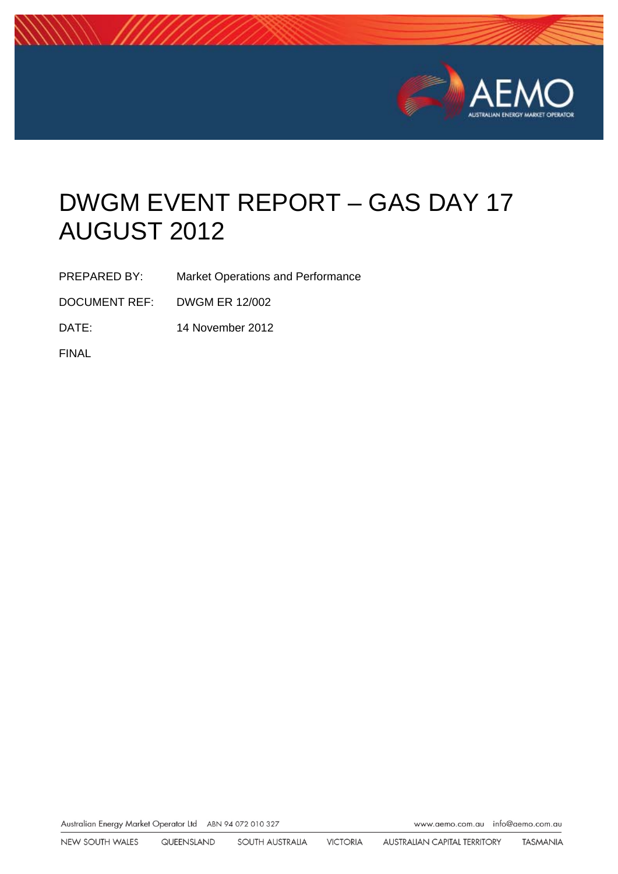

# DWGM EVENT REPORT – GAS DAY 17 AUGUST 2012

PREPARED BY: Market Operations and Performance

DOCUMENT REF: DWGM ER 12/002

DATE: 14 November 2012

FINAL

Australian Energy Market Operator Ltd ABN 94 072 010 327

www.aemo.com.au info@aemo.com.au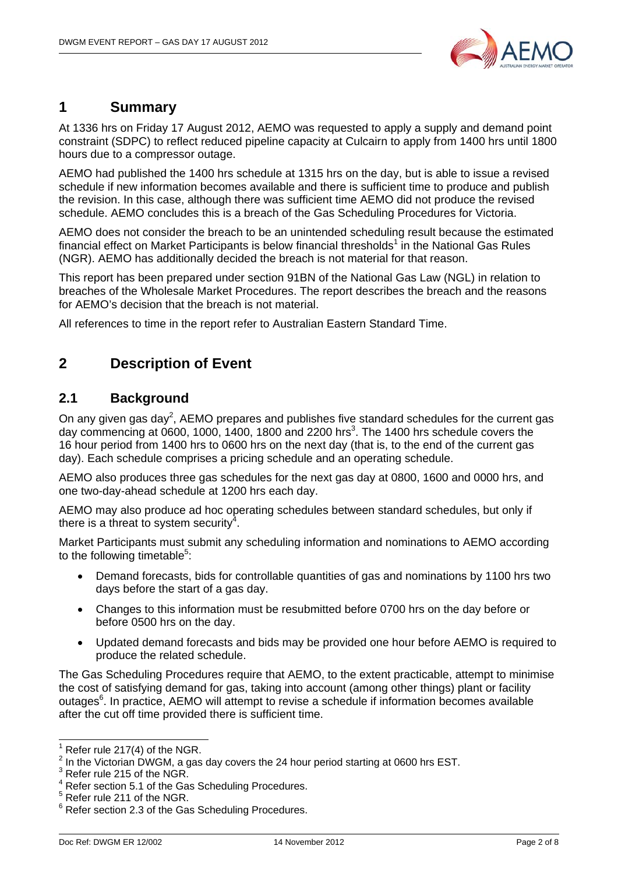

# **1 Summary**

At 1336 hrs on Friday 17 August 2012, AEMO was requested to apply a supply and demand point constraint (SDPC) to reflect reduced pipeline capacity at Culcairn to apply from 1400 hrs until 1800 hours due to a compressor outage.

AEMO had published the 1400 hrs schedule at 1315 hrs on the day, but is able to issue a revised schedule if new information becomes available and there is sufficient time to produce and publish the revision. In this case, although there was sufficient time AEMO did not produce the revised schedule. AEMO concludes this is a breach of the Gas Scheduling Procedures for Victoria.

AEMO does not consider the breach to be an unintended scheduling result because the estimated financial effect on Market Participants is below financial thresholds<sup>1</sup> in the National Gas Rules (NGR). AEMO has additionally decided the breach is not material for that reason.

This report has been prepared under section 91BN of the National Gas Law (NGL) in relation to breaches of the Wholesale Market Procedures. The report describes the breach and the reasons for AEMO's decision that the breach is not material.

All references to time in the report refer to Australian Eastern Standard Time.

# **2 Description of Event**

### **2.1 Background**

On any given gas day<sup>2</sup>, AEMO prepares and publishes five standard schedules for the current gas day commencing at 0600, 1000, 1400, 1800 and 2200 hrs<sup>3</sup>. The 1400 hrs schedule covers the 16 hour period from 1400 hrs to 0600 hrs on the next day (that is, to the end of the current gas day). Each schedule comprises a pricing schedule and an operating schedule.

AEMO also produces three gas schedules for the next gas day at 0800, 1600 and 0000 hrs, and one two-day-ahead schedule at 1200 hrs each day.

AEMO may also produce ad hoc operating schedules between standard schedules, but only if there is a threat to system security<sup>4</sup>.

Market Participants must submit any scheduling information and nominations to AEMO according to the following timetable<sup>5</sup>:

- Demand forecasts, bids for controllable quantities of gas and nominations by 1100 hrs two days before the start of a gas day.
- Changes to this information must be resubmitted before 0700 hrs on the day before or before 0500 hrs on the day.
- Updated demand forecasts and bids may be provided one hour before AEMO is required to produce the related schedule.

The Gas Scheduling Procedures require that AEMO, to the extent practicable, attempt to minimise the cost of satisfying demand for gas, taking into account (among other things) plant or facility outages<sup>6</sup>. In practice, AEMO will attempt to revise a schedule if information becomes available after the cut off time provided there is sufficient time.

 1 Refer rule 217(4) of the NGR.

 $2$  In the Victorian DWGM, a gas day covers the 24 hour period starting at 0600 hrs EST.

<sup>3</sup> Refer rule 215 of the NGR.

<sup>&</sup>lt;sup>4</sup> Refer section 5.1 of the Gas Scheduling Procedures.

 $<sup>5</sup>$  Refer rule 211 of the NGR.</sup>

<sup>&</sup>lt;sup>6</sup> Refer section 2.3 of the Gas Scheduling Procedures.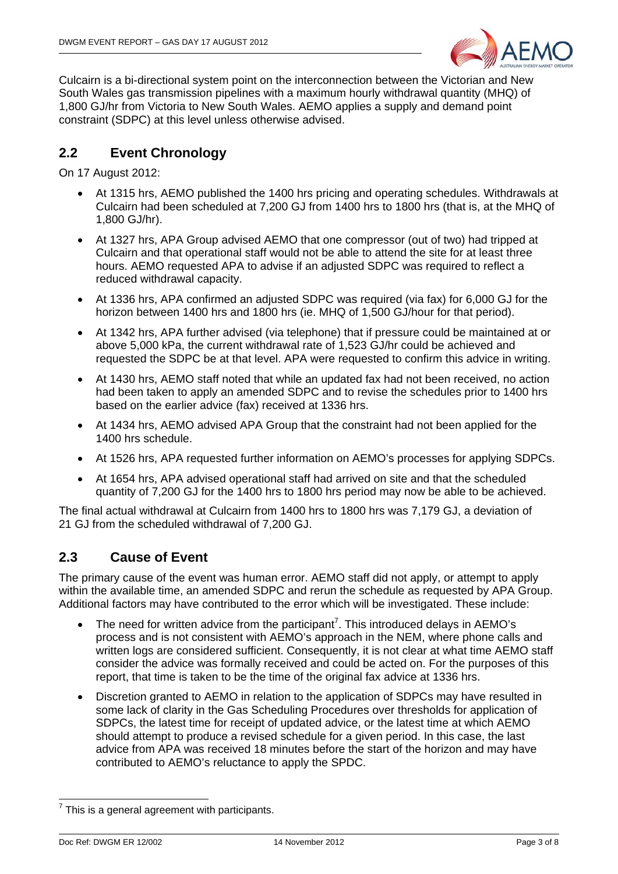

Culcairn is a bi-directional system point on the interconnection between the Victorian and New South Wales gas transmission pipelines with a maximum hourly withdrawal quantity (MHQ) of 1,800 GJ/hr from Victoria to New South Wales. AEMO applies a supply and demand point constraint (SDPC) at this level unless otherwise advised.

# **2.2 Event Chronology**

On 17 August 2012:

- At 1315 hrs, AEMO published the 1400 hrs pricing and operating schedules. Withdrawals at Culcairn had been scheduled at 7,200 GJ from 1400 hrs to 1800 hrs (that is, at the MHQ of 1,800 GJ/hr).
- At 1327 hrs, APA Group advised AEMO that one compressor (out of two) had tripped at Culcairn and that operational staff would not be able to attend the site for at least three hours. AEMO requested APA to advise if an adjusted SDPC was required to reflect a reduced withdrawal capacity.
- At 1336 hrs, APA confirmed an adjusted SDPC was required (via fax) for 6,000 GJ for the horizon between 1400 hrs and 1800 hrs (ie. MHQ of 1,500 GJ/hour for that period).
- At 1342 hrs, APA further advised (via telephone) that if pressure could be maintained at or above 5,000 kPa, the current withdrawal rate of 1,523 GJ/hr could be achieved and requested the SDPC be at that level. APA were requested to confirm this advice in writing.
- At 1430 hrs, AEMO staff noted that while an updated fax had not been received, no action had been taken to apply an amended SDPC and to revise the schedules prior to 1400 hrs based on the earlier advice (fax) received at 1336 hrs.
- At 1434 hrs, AEMO advised APA Group that the constraint had not been applied for the 1400 hrs schedule.
- At 1526 hrs, APA requested further information on AEMO's processes for applying SDPCs.
- At 1654 hrs, APA advised operational staff had arrived on site and that the scheduled quantity of 7,200 GJ for the 1400 hrs to 1800 hrs period may now be able to be achieved.

The final actual withdrawal at Culcairn from 1400 hrs to 1800 hrs was 7,179 GJ, a deviation of 21 GJ from the scheduled withdrawal of 7,200 GJ.

# **2.3 Cause of Event**

The primary cause of the event was human error. AEMO staff did not apply, or attempt to apply within the available time, an amended SDPC and rerun the schedule as requested by APA Group. Additional factors may have contributed to the error which will be investigated. These include:

- The need for written advice from the participant<sup>7</sup>. This introduced delays in AEMO's process and is not consistent with AEMO's approach in the NEM, where phone calls and written logs are considered sufficient. Consequently, it is not clear at what time AEMO staff consider the advice was formally received and could be acted on. For the purposes of this report, that time is taken to be the time of the original fax advice at 1336 hrs.
- Discretion granted to AEMO in relation to the application of SDPCs may have resulted in some lack of clarity in the Gas Scheduling Procedures over thresholds for application of SDPCs, the latest time for receipt of updated advice, or the latest time at which AEMO should attempt to produce a revised schedule for a given period. In this case, the last advice from APA was received 18 minutes before the start of the horizon and may have contributed to AEMO's reluctance to apply the SPDC.

 7 This is a general agreement with participants.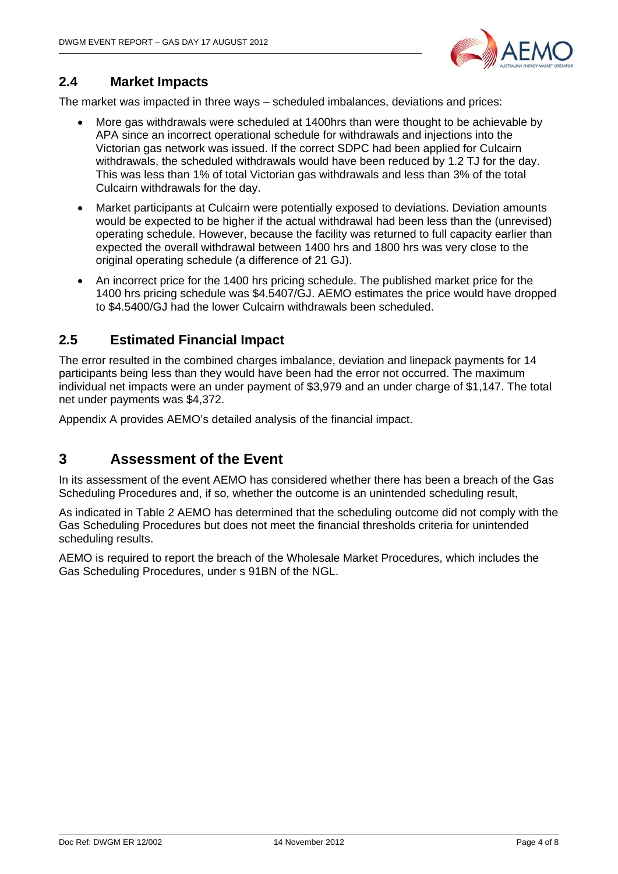

# **2.4 Market Impacts**

The market was impacted in three ways – scheduled imbalances, deviations and prices:

- More gas withdrawals were scheduled at 1400hrs than were thought to be achievable by APA since an incorrect operational schedule for withdrawals and injections into the Victorian gas network was issued. If the correct SDPC had been applied for Culcairn withdrawals, the scheduled withdrawals would have been reduced by 1.2 TJ for the day. This was less than 1% of total Victorian gas withdrawals and less than 3% of the total Culcairn withdrawals for the day.
- Market participants at Culcairn were potentially exposed to deviations. Deviation amounts would be expected to be higher if the actual withdrawal had been less than the (unrevised) operating schedule. However, because the facility was returned to full capacity earlier than expected the overall withdrawal between 1400 hrs and 1800 hrs was very close to the original operating schedule (a difference of 21 GJ).
- An incorrect price for the 1400 hrs pricing schedule. The published market price for the 1400 hrs pricing schedule was \$4.5407/GJ. AEMO estimates the price would have dropped to \$4.5400/GJ had the lower Culcairn withdrawals been scheduled.

# **2.5 Estimated Financial Impact**

The error resulted in the combined charges imbalance, deviation and linepack payments for 14 participants being less than they would have been had the error not occurred. The maximum individual net impacts were an under payment of \$3,979 and an under charge of \$1,147. The total net under payments was \$4,372.

Appendix A provides AEMO's detailed analysis of the financial impact.

# **3 Assessment of the Event**

In its assessment of the event AEMO has considered whether there has been a breach of the Gas Scheduling Procedures and, if so, whether the outcome is an unintended scheduling result,

As indicated in Table 2 AEMO has determined that the scheduling outcome did not comply with the Gas Scheduling Procedures but does not meet the financial thresholds criteria for unintended scheduling results.

AEMO is required to report the breach of the Wholesale Market Procedures, which includes the Gas Scheduling Procedures, under s 91BN of the NGL.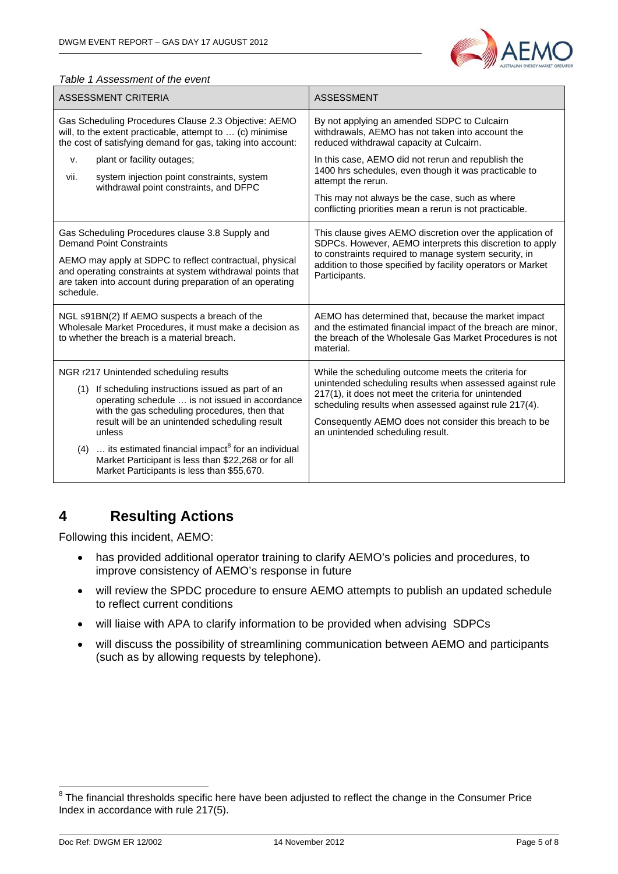

#### *Table 1 Assessment of the event*

| ASSESSMENT CRITERIA                                                                                                                                                                                                                                                                                                                                                                                                                                 | <b>ASSESSMENT</b>                                                                                                                                                                                                                                                                                                             |
|-----------------------------------------------------------------------------------------------------------------------------------------------------------------------------------------------------------------------------------------------------------------------------------------------------------------------------------------------------------------------------------------------------------------------------------------------------|-------------------------------------------------------------------------------------------------------------------------------------------------------------------------------------------------------------------------------------------------------------------------------------------------------------------------------|
| Gas Scheduling Procedures Clause 2.3 Objective: AEMO<br>will, to the extent practicable, attempt to  (c) minimise<br>the cost of satisfying demand for gas, taking into account:                                                                                                                                                                                                                                                                    | By not applying an amended SDPC to Culcairn<br>withdrawals, AEMO has not taken into account the<br>reduced withdrawal capacity at Culcairn.                                                                                                                                                                                   |
| plant or facility outages;<br>ν.<br>system injection point constraints, system<br>vii.<br>withdrawal point constraints, and DFPC                                                                                                                                                                                                                                                                                                                    | In this case, AEMO did not rerun and republish the<br>1400 hrs schedules, even though it was practicable to<br>attempt the rerun.<br>This may not always be the case, such as where<br>conflicting priorities mean a rerun is not practicable.                                                                                |
| Gas Scheduling Procedures clause 3.8 Supply and<br><b>Demand Point Constraints</b><br>AEMO may apply at SDPC to reflect contractual, physical<br>and operating constraints at system withdrawal points that<br>are taken into account during preparation of an operating<br>schedule.                                                                                                                                                               | This clause gives AEMO discretion over the application of<br>SDPCs. However, AEMO interprets this discretion to apply<br>to constraints required to manage system security, in<br>addition to those specified by facility operators or Market<br>Participants.                                                                |
| NGL s91BN(2) If AEMO suspects a breach of the<br>Wholesale Market Procedures, it must make a decision as<br>to whether the breach is a material breach.                                                                                                                                                                                                                                                                                             | AEMO has determined that, because the market impact<br>and the estimated financial impact of the breach are minor,<br>the breach of the Wholesale Gas Market Procedures is not<br>material.                                                                                                                                   |
| NGR r217 Unintended scheduling results<br>(1) If scheduling instructions issued as part of an<br>operating schedule  is not issued in accordance<br>with the gas scheduling procedures, then that<br>result will be an unintended scheduling result<br>unless<br>$\ldots$ its estimated financial impact <sup>8</sup> for an individual<br>(4)<br>Market Participant is less than \$22,268 or for all<br>Market Participants is less than \$55,670. | While the scheduling outcome meets the criteria for<br>unintended scheduling results when assessed against rule<br>217(1), it does not meet the criteria for unintended<br>scheduling results when assessed against rule 217(4).<br>Consequently AEMO does not consider this breach to be<br>an unintended scheduling result. |

# **4 Resulting Actions**

Following this incident, AEMO:

- has provided additional operator training to clarify AEMO's policies and procedures, to improve consistency of AEMO's response in future
- will review the SPDC procedure to ensure AEMO attempts to publish an updated schedule to reflect current conditions
- will liaise with APA to clarify information to be provided when advising SDPCs
- will discuss the possibility of streamlining communication between AEMO and participants (such as by allowing requests by telephone).

**EXECUTE:**<br><sup>8</sup> The financial thresholds specific here have been adjusted to reflect the change in the Consumer Price Index in accordance with rule 217(5).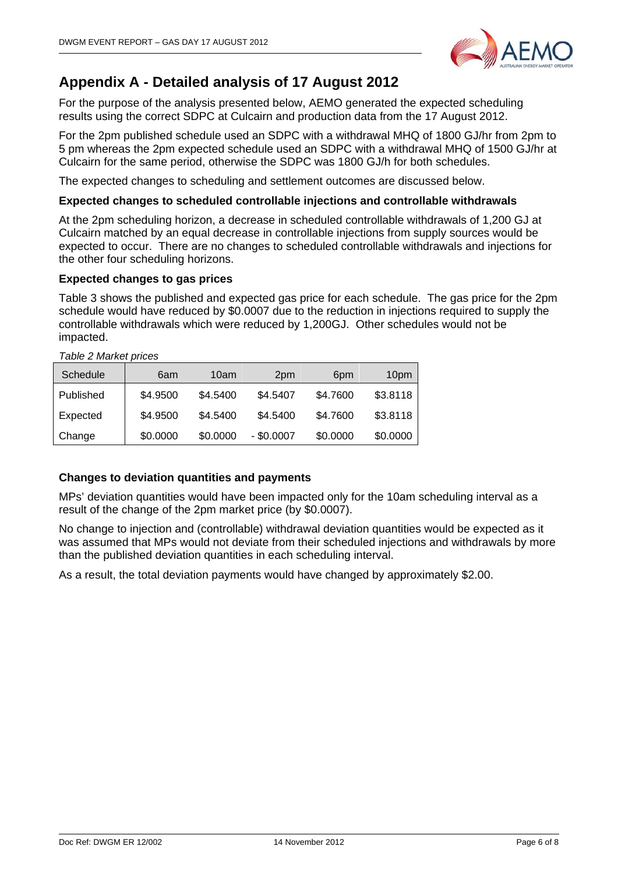

# **Appendix A - Detailed analysis of 17 August 2012**

For the purpose of the analysis presented below, AEMO generated the expected scheduling results using the correct SDPC at Culcairn and production data from the 17 August 2012.

For the 2pm published schedule used an SDPC with a withdrawal MHQ of 1800 GJ/hr from 2pm to 5 pm whereas the 2pm expected schedule used an SDPC with a withdrawal MHQ of 1500 GJ/hr at Culcairn for the same period, otherwise the SDPC was 1800 GJ/h for both schedules.

The expected changes to scheduling and settlement outcomes are discussed below.

### **Expected changes to scheduled controllable injections and controllable withdrawals**

At the 2pm scheduling horizon, a decrease in scheduled controllable withdrawals of 1,200 GJ at Culcairn matched by an equal decrease in controllable injections from supply sources would be expected to occur. There are no changes to scheduled controllable withdrawals and injections for the other four scheduling horizons.

### **Expected changes to gas prices**

Table 3 shows the published and expected gas price for each schedule. The gas price for the 2pm schedule would have reduced by \$0.0007 due to the reduction in injections required to supply the controllable withdrawals which were reduced by 1,200GJ. Other schedules would not be impacted.

| Schedule  | 6am      | 10am     | 2 <sub>pm</sub> | 6pm      | 10pm     |
|-----------|----------|----------|-----------------|----------|----------|
| Published | \$4.9500 | \$4.5400 | \$4.5407        | \$4.7600 | \$3.8118 |
| Expected  | \$4.9500 | \$4.5400 | \$4.5400        | \$4.7600 | \$3.8118 |
| Change    | \$0.0000 | \$0.0000 | $-$ \$0.0007    | \$0.0000 | \$0.0000 |

*Table 2 Market prices* 

### **Changes to deviation quantities and payments**

MPs' deviation quantities would have been impacted only for the 10am scheduling interval as a result of the change of the 2pm market price (by \$0.0007).

No change to injection and (controllable) withdrawal deviation quantities would be expected as it was assumed that MPs would not deviate from their scheduled injections and withdrawals by more than the published deviation quantities in each scheduling interval.

As a result, the total deviation payments would have changed by approximately \$2.00.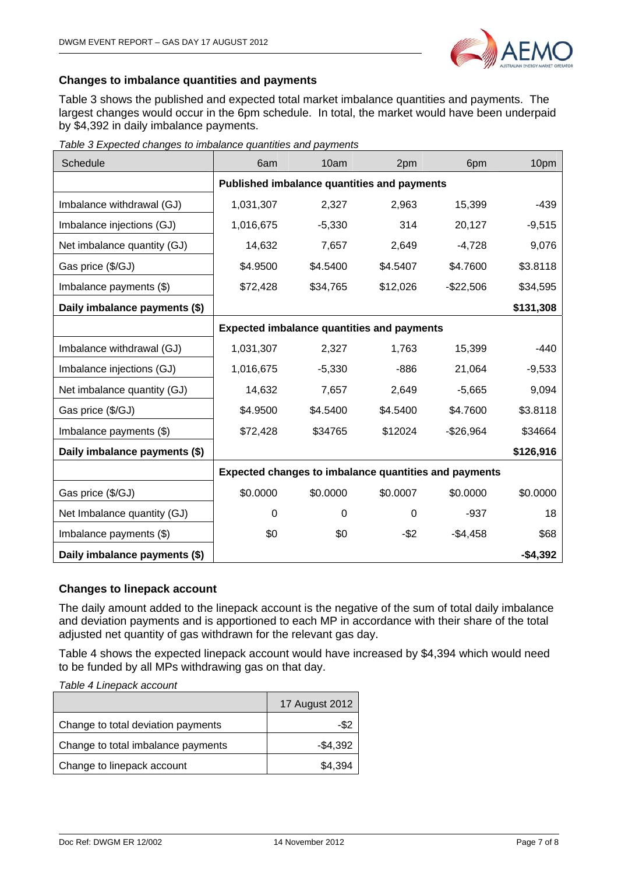

### **Changes to imbalance quantities and payments**

Table 3 shows the published and expected total market imbalance quantities and payments. The largest changes would occur in the 6pm schedule. In total, the market would have been underpaid by \$4,392 in daily imbalance payments.

| Schedule                      | 6am                                                   | 10am     | 2pm      | 6pm        | 10pm      |
|-------------------------------|-------------------------------------------------------|----------|----------|------------|-----------|
|                               | Published imbalance quantities and payments           |          |          |            |           |
| Imbalance withdrawal (GJ)     | 1,031,307                                             | 2,327    | 2,963    | 15,399     | $-439$    |
| Imbalance injections (GJ)     | 1,016,675                                             | $-5,330$ | 314      | 20,127     | $-9,515$  |
| Net imbalance quantity (GJ)   | 14,632                                                | 7,657    | 2,649    | $-4,728$   | 9,076     |
| Gas price (\$/GJ)             | \$4.9500                                              | \$4.5400 | \$4.5407 | \$4.7600   | \$3.8118  |
| Imbalance payments (\$)       | \$72,428                                              | \$34,765 | \$12,026 | -\$22,506  | \$34,595  |
| Daily imbalance payments (\$) |                                                       |          |          |            | \$131,308 |
|                               | <b>Expected imbalance quantities and payments</b>     |          |          |            |           |
| Imbalance withdrawal (GJ)     | 1,031,307                                             | 2,327    | 1,763    | 15,399     | -440      |
| Imbalance injections (GJ)     | 1,016,675                                             | $-5,330$ | $-886$   | 21,064     | $-9,533$  |
| Net imbalance quantity (GJ)   | 14,632                                                | 7,657    | 2,649    | $-5,665$   | 9,094     |
| Gas price (\$/GJ)             | \$4.9500                                              | \$4.5400 | \$4.5400 | \$4.7600   | \$3.8118  |
| Imbalance payments (\$)       | \$72,428                                              | \$34765  | \$12024  | $-$26,964$ | \$34664   |
| Daily imbalance payments (\$) |                                                       |          |          |            | \$126,916 |
|                               | Expected changes to imbalance quantities and payments |          |          |            |           |
| Gas price (\$/GJ)             | \$0.0000                                              | \$0.0000 | \$0.0007 | \$0.0000   | \$0.0000  |
| Net Imbalance quantity (GJ)   | 0                                                     | 0        | 0        | $-937$     | 18        |
| Imbalance payments (\$)       | \$0                                                   | \$0      | $-$ \$2  | $-$4,458$  | \$68      |
| Daily imbalance payments (\$) |                                                       |          |          |            | $-$4,392$ |

*Table 3 Expected changes to imbalance quantities and payments* 

### **Changes to linepack account**

The daily amount added to the linepack account is the negative of the sum of total daily imbalance and deviation payments and is apportioned to each MP in accordance with their share of the total adjusted net quantity of gas withdrawn for the relevant gas day.

Table 4 shows the expected linepack account would have increased by \$4,394 which would need to be funded by all MPs withdrawing gas on that day.

*Table 4 Linepack account* 

|                                    | 17 August 2012 |
|------------------------------------|----------------|
| Change to total deviation payments | -\$2           |
| Change to total imbalance payments | $-$4,392$      |
| Change to linepack account         | \$4.394        |